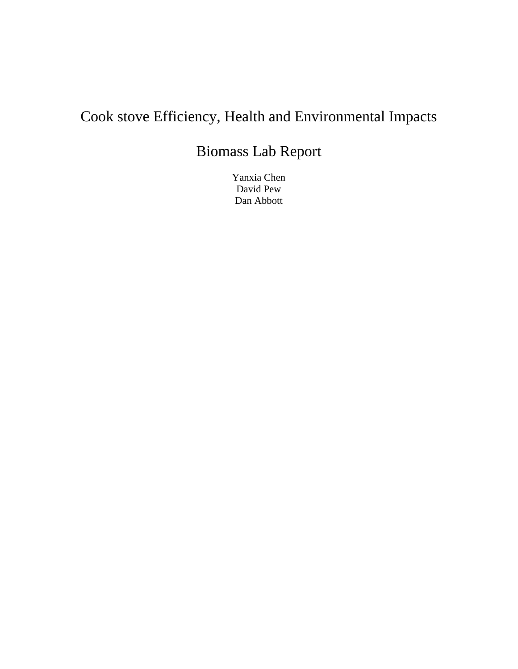# Cook stove Efficiency, Health and Environmental Impacts

## Biomass Lab Report

Yanxia Chen David Pew Dan Abbott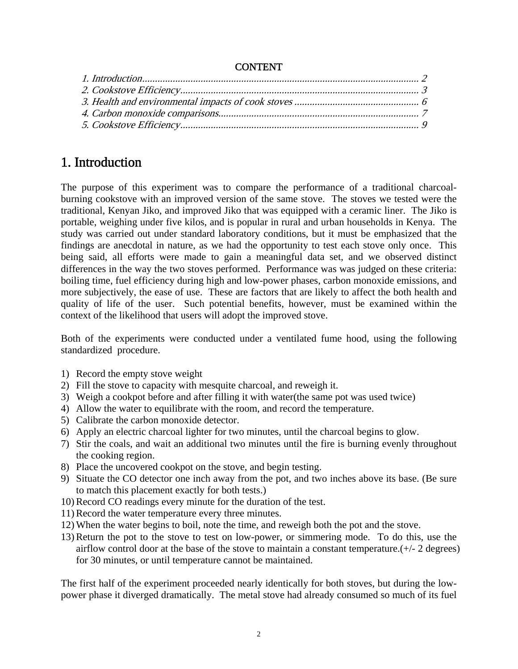#### CONTENT

#### 1. Introduction

The purpose of this experiment was to compare the performance of a traditional charcoalburning cookstove with an improved version of the same stove. The stoves we tested were the traditional, Kenyan Jiko, and improved Jiko that was equipped with a ceramic liner. The Jiko is portable, weighing under five kilos, and is popular in rural and urban households in Kenya. The study was carried out under standard laboratory conditions, but it must be emphasized that the findings are anecdotal in nature, as we had the opportunity to test each stove only once. This being said, all efforts were made to gain a meaningful data set, and we observed distinct differences in the way the two stoves performed. Performance was was judged on these criteria: boiling time, fuel efficiency during high and low-power phases, carbon monoxide emissions, and more subjectively, the ease of use. These are factors that are likely to affect the both health and quality of life of the user. Such potential benefits, however, must be examined within the context of the likelihood that users will adopt the improved stove.

Both of the experiments were conducted under a ventilated fume hood, using the following standardized procedure.

- 1) Record the empty stove weight
- 2) Fill the stove to capacity with mesquite charcoal, and reweigh it.
- 3) Weigh a cookpot before and after filling it with water(the same pot was used twice)
- 4) Allow the water to equilibrate with the room, and record the temperature.
- 5) Calibrate the carbon monoxide detector.
- 6) Apply an electric charcoal lighter for two minutes, until the charcoal begins to glow.
- 7) Stir the coals, and wait an additional two minutes until the fire is burning evenly throughout the cooking region.
- 8) Place the uncovered cookpot on the stove, and begin testing.
- 9) Situate the CO detector one inch away from the pot, and two inches above its base. (Be sure to match this placement exactly for both tests.)
- 10) Record CO readings every minute for the duration of the test.
- 11) Record the water temperature every three minutes.
- 12) When the water begins to boil, note the time, and reweigh both the pot and the stove.
- 13) Return the pot to the stove to test on low-power, or simmering mode. To do this, use the airflow control door at the base of the stove to maintain a constant temperature.(+/- 2 degrees) for 30 minutes, or until temperature cannot be maintained.

The first half of the experiment proceeded nearly identically for both stoves, but during the lowpower phase it diverged dramatically. The metal stove had already consumed so much of its fuel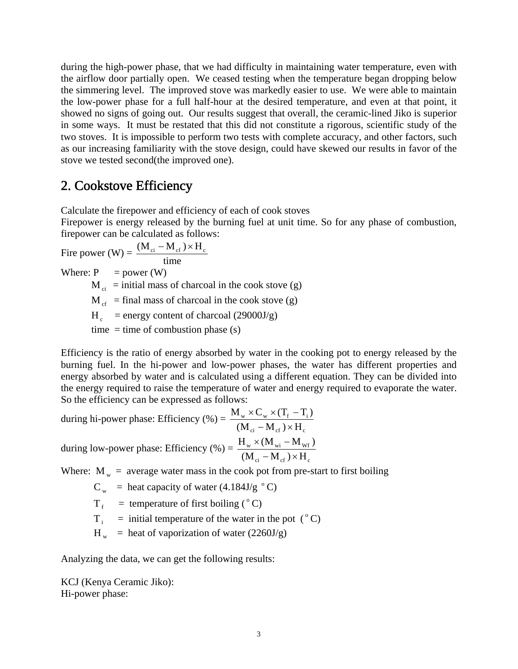during the high-power phase, that we had difficulty in maintaining water temperature, even with the airflow door partially open. We ceased testing when the temperature began dropping below the simmering level. The improved stove was markedly easier to use. We were able to maintain the low-power phase for a full half-hour at the desired temperature, and even at that point, it showed no signs of going out. Our results suggest that overall, the ceramic-lined Jiko is superior in some ways. It must be restated that this did not constitute a rigorous, scientific study of the two stoves. It is impossible to perform two tests with complete accuracy, and other factors, such as our increasing familiarity with the stove design, could have skewed our results in favor of the stove we tested second(the improved one).

#### 2. Cookstove Efficiency

Calculate the firepower and efficiency of each of cook stoves

Firepower is energy released by the burning fuel at unit time. So for any phase of combustion, firepower can be calculated as follows:

Fire power (W) =  $\frac{W \cdot c_i}{t}$  time  $(M_{ci} - M_{cf}) \times H_c$ Where:  $P = power (W)$  $M_{ci}$  = initial mass of charcoal in the cook stove (g)  $M_{cf}$  = final mass of charcoal in the cook stove (g)  $H_c$  = energy content of charcoal (29000J/g) time  $=$  time of combustion phase (s)

Efficiency is the ratio of energy absorbed by water in the cooking pot to energy released by the burning fuel. In the hi-power and low-power phases, the water has different properties and energy absorbed by water and is calculated using a different equation. They can be divided into the energy required to raise the temperature of water and energy required to evaporate the water. So the efficiency can be expressed as follows:

during hi-power phase: Efficiency  $(\% )$  =  $_{ci}$  -  $M_{cf}$  /  $\sim$   $M_c$  $w \wedge v_w \wedge u_f$   $\mathbf{1}_i$  $(M_{ci} - M_{cf}) \times H$  $M_w \times C_w \times (T_f - T_i)$  $-M_{\text{cf}}$ )×  $\times$  C<sub>w</sub>  $\times$  (T<sub>f</sub> – during low-power phase: Efficiency  $% =$ ci  $\mathbf{M}_{cf}$  /  $\wedge$   $\mathbf{H}_c$  $_{\rm w}$   $\sim$  (IVI  $_{\rm wi}$   $-$  IVI  $_{\rm Wf}$  $(M_{ci} - M_{cf}) \times H$  $H_w \times (M_{wi} - M_{wf})$  $-\mathbf{M}_{\text{cf}}\times$  $\times$  (M<sub>wi</sub> –

Where:  $M_w$  = average water mass in the cook pot from pre-start to first boiling

 $C_w$  = heat capacity of water (4.184J/g  $\degree$ C)

 $T_f$  = temperature of first boiling (°C)

 $T_i$  = initial temperature of the water in the pot ( $^{\circ}$ C)

 $H_w$  = heat of vaporization of water (2260J/g)

Analyzing the data, we can get the following results:

KCJ (Kenya Ceramic Jiko): Hi-power phase: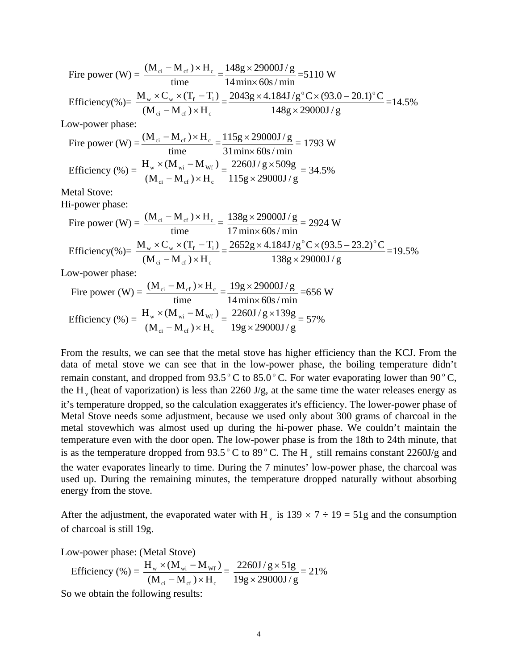Fire power (W) =  $\frac{(M_{ci} - M_{cf})}{time}$  $\frac{(M_{ci} - M_{cf}) \times H_c}{H}$  =  $14$  min $\times$  60s / min  $148g \times 29000J/g$ ×  $\times$  29000J/g =5110 W Efficiency(%)=  $_{ci}$  -  $M_{cf}$  /  $\sim$   $M_c$  $w \wedge v_w \wedge u_f - i$  $(M_{ci} - M_{cf}) \times H$  $M_w \times C_w \times (T_f - T_i)$  $\frac{\sqrt{C_w} \times (T_f - T_i)}{\sqrt{C_v - M_{cf}}} = \frac{2043g \times 4.184J/g^{\circ}C \times (93.0 - 20.1)^{\circ}C}{148g \times 29000J/g}$  $\times$  $\times$ 4.184J/g<sup>o</sup>C $\times$ (93.0 – 20.1)<sup>o</sup>C<br>= 14.5% Low-power phase: Fire power (W) =  $\frac{(M_{ci} - M_{cf})}{time}$  $\frac{(M_{ci} - M_{cf}) \times H_c}{H}$  =  $31$ min $\times$  60s / min  $115g \times 29000J/g$ ×  $\times$  29000J/g = 1793 W Efficiency  $(\% )$  = ci  $\mathbf{M}_{cf}$  /  $\wedge$   $\mathbf{H}_c$  $w \sim$   $($ IVI $_{\text{Wi}}$  IVI $_{\text{Wf}}$  $(M_{ci} - M_{cf}) \times H$  $H_w \times (M_{wi} - M_{wf})$  $-\mathbf{M}_{\text{cf}}\,)\times$  $\times$  (M<sub>wi</sub> – M<sub>wf</sub>) =  $115g \times 29000J/g$  $2260J/g \times 509g$ ×  $\frac{\times 509g}{2005}$  = 34.5% Metal Stove: Hi-power phase: Fire power (W) =  $\frac{(M_{ci} - M_{cf})}{time}$  $\frac{(M_{ci} - M_{cf}) \times H_c}{H}$  =  $17$  min $\times$  60s / min  $138g \times 29000J/g$ ×  $\frac{\times 29000 \text{ J/g}}{2924 \text{ W}}$  = 2924 W

Efficiency(%) = 
$$
\frac{M_w \times C_w \times (T_f - T_i)}{(M_{ci} - M_{cf}) \times H_c} = \frac{2652g \times 4.184J/g^{\circ}C \times (93.5 - 23.2)^{\circ}C}{138g \times 29000J/g} = 19.5\%
$$

Low-power phase:

Fire power (W) = 
$$
\frac{(M_{ci} - M_{cf}) \times H_c}{time} = \frac{19g \times 29000 J/g}{14 \text{ min} \times 60s / \text{ min}} = 656 \text{ W}
$$
  
Efficiency ( $\%$ ) = 
$$
\frac{H_w \times (M_{wi} - M_{wf})}{(M_{ci} - M_{cf}) \times H_c} = \frac{2260 J/g \times 139g}{19g \times 29000 J/g} = 57\%
$$

From the results, we can see that the metal stove has higher efficiency than the KCJ. From the data of metal stove we can see that in the low-power phase, the boiling temperature didn't remain constant, and dropped from  $93.5^{\circ}$  C to  $85.0^{\circ}$  C. For water evaporating lower than  $90^{\circ}$  C, the H<sub>v</sub> (heat of vaporization) is less than 2260 J/g, at the same time the water releases energy as it's temperature dropped, so the calculation exaggerates it's efficiency. The lower-power phase of Metal Stove needs some adjustment, because we used only about 300 grams of charcoal in the metal stovewhich was almost used up during the hi-power phase. We couldn't maintain the temperature even with the door open. The low-power phase is from the 18th to 24th minute, that is as the temperature dropped from  $93.5^{\circ}$  C to  $89^{\circ}$  C. The H<sub>y</sub> still remains constant 2260J/g and the water evaporates linearly to time. During the 7 minutes' low-power phase, the charcoal was used up. During the remaining minutes, the temperature dropped naturally without absorbing energy from the stove.

After the adjustment, the evaporated water with H<sub>y</sub> is  $139 \times 7 \div 19 = 51g$  and the consumption of charcoal is still 19g.

Low-power phase: (Metal Stove)

Efficiency (
$$
\%
$$
) =  $\frac{H_w \times (M_{wi} - M_{wf})}{(M_{ci} - M_{cf}) \times H_c} = \frac{2260J/g \times 51g}{19g \times 29000J/g} = 21\%$ 

So we obtain the following results: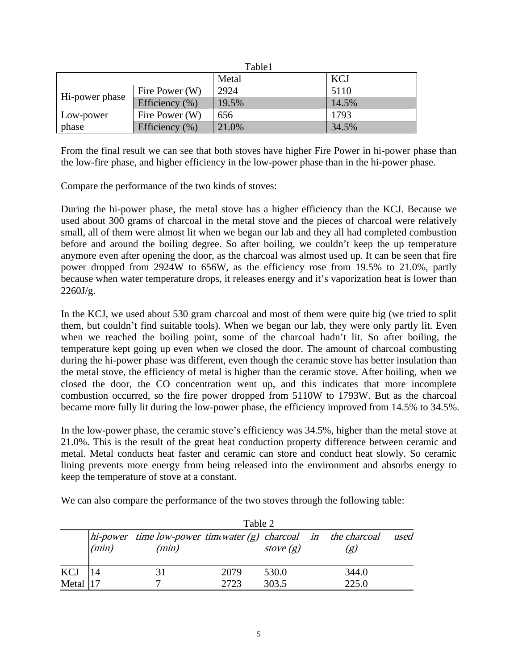| Table1         |                    |       |            |
|----------------|--------------------|-------|------------|
|                |                    | Metal | <b>KCJ</b> |
| Hi-power phase | Fire Power (W)     | 2924  | 5110       |
|                | Efficiency $(\% )$ | 19.5% | 14.5%      |
| Low-power      | Fire Power (W)     | 656   | 1793       |
| phase          | Efficiency $(\% )$ | 21.0% | 34.5%      |

From the final result we can see that both stoves have higher Fire Power in hi-power phase than the low-fire phase, and higher efficiency in the low-power phase than in the hi-power phase.

Compare the performance of the two kinds of stoves:

During the hi-power phase, the metal stove has a higher efficiency than the KCJ. Because we used about 300 grams of charcoal in the metal stove and the pieces of charcoal were relatively small, all of them were almost lit when we began our lab and they all had completed combustion before and around the boiling degree. So after boiling, we couldn't keep the up temperature anymore even after opening the door, as the charcoal was almost used up. It can be seen that fire power dropped from 2924W to 656W, as the efficiency rose from 19.5% to 21.0%, partly because when water temperature drops, it releases energy and it's vaporization heat is lower than  $2260J/g.$ 

In the KCJ, we used about 530 gram charcoal and most of them were quite big (we tried to split them, but couldn't find suitable tools). When we began our lab, they were only partly lit. Even when we reached the boiling point, some of the charcoal hadn't lit. So after boiling, the temperature kept going up even when we closed the door. The amount of charcoal combusting during the hi-power phase was different, even though the ceramic stove has better insulation than the metal stove, the efficiency of metal is higher than the ceramic stove. After boiling, when we closed the door, the CO concentration went up, and this indicates that more incomplete combustion occurred, so the fire power dropped from 5110W to 1793W. But as the charcoal became more fully lit during the low-power phase, the efficiency improved from 14.5% to 34.5%.

In the low-power phase, the ceramic stove's efficiency was 34.5%, higher than the metal stove at 21.0%. This is the result of the great heat conduction property difference between ceramic and metal. Metal conducts heat faster and ceramic can store and conduct heat slowly. So ceramic lining prevents more energy from being released into the environment and absorbs energy to keep the temperature of stove at a constant.

We can also compare the performance of the two stoves through the following table:

|             | Table 2 |                                                                                   |      |             |  |       |      |
|-------------|---------|-----------------------------------------------------------------------------------|------|-------------|--|-------|------|
|             | (min)   | $\Delta$ hi-power time low-power time water (g) charcoal in the charcoal<br>(min) |      | stove $(g)$ |  | (g)   | used |
| KCJ         |         | 31                                                                                | 2079 | 530.0       |  | 344.0 |      |
| Metal $ 17$ |         |                                                                                   | 2723 | 303.5       |  | 225.0 |      |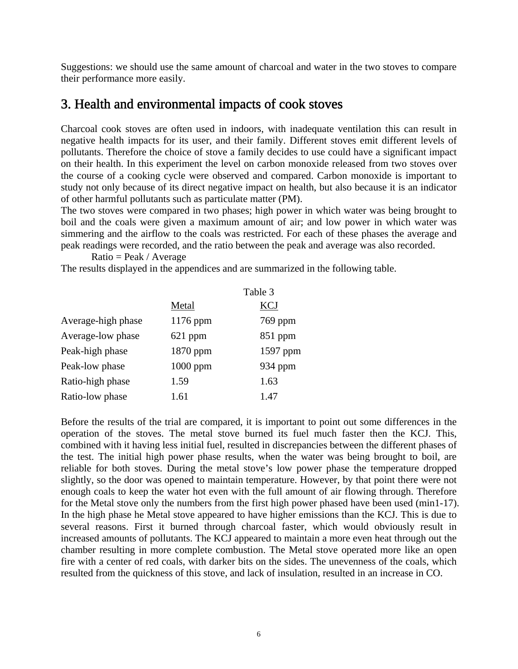Suggestions: we should use the same amount of charcoal and water in the two stoves to compare their performance more easily.

#### 3. Health and environmental impacts of cook stoves

Charcoal cook stoves are often used in indoors, with inadequate ventilation this can result in negative health impacts for its user, and their family. Different stoves emit different levels of pollutants. Therefore the choice of stove a family decides to use could have a significant impact on their health. In this experiment the level on carbon monoxide released from two stoves over the course of a cooking cycle were observed and compared. Carbon monoxide is important to study not only because of its direct negative impact on health, but also because it is an indicator of other harmful pollutants such as particulate matter (PM).

The two stoves were compared in two phases; high power in which water was being brought to boil and the coals were given a maximum amount of air; and low power in which water was simmering and the airflow to the coals was restricted. For each of these phases the average and peak readings were recorded, and the ratio between the peak and average was also recorded.

 $Ratio = Peak / Average$ 

The results displayed in the appendices and are summarized in the following table.

|                    | Table 3    |            |  |
|--------------------|------------|------------|--|
|                    | Metal      | <b>KCJ</b> |  |
| Average-high phase | $1176$ ppm | 769 ppm    |  |
| Average-low phase  | $621$ ppm  | 851 ppm    |  |
| Peak-high phase    | $1870$ ppm | $1597$ ppm |  |
| Peak-low phase     | $1000$ ppm | 934 ppm    |  |
| Ratio-high phase   | 1.59       | 1.63       |  |
| Ratio-low phase    | 1.61       | 1.47       |  |

Before the results of the trial are compared, it is important to point out some differences in the operation of the stoves. The metal stove burned its fuel much faster then the KCJ. This, combined with it having less initial fuel, resulted in discrepancies between the different phases of the test. The initial high power phase results, when the water was being brought to boil, are reliable for both stoves. During the metal stove's low power phase the temperature dropped slightly, so the door was opened to maintain temperature. However, by that point there were not enough coals to keep the water hot even with the full amount of air flowing through. Therefore for the Metal stove only the numbers from the first high power phased have been used (min1-17). In the high phase he Metal stove appeared to have higher emissions than the KCJ. This is due to several reasons. First it burned through charcoal faster, which would obviously result in increased amounts of pollutants. The KCJ appeared to maintain a more even heat through out the chamber resulting in more complete combustion. The Metal stove operated more like an open fire with a center of red coals, with darker bits on the sides. The unevenness of the coals, which resulted from the quickness of this stove, and lack of insulation, resulted in an increase in CO.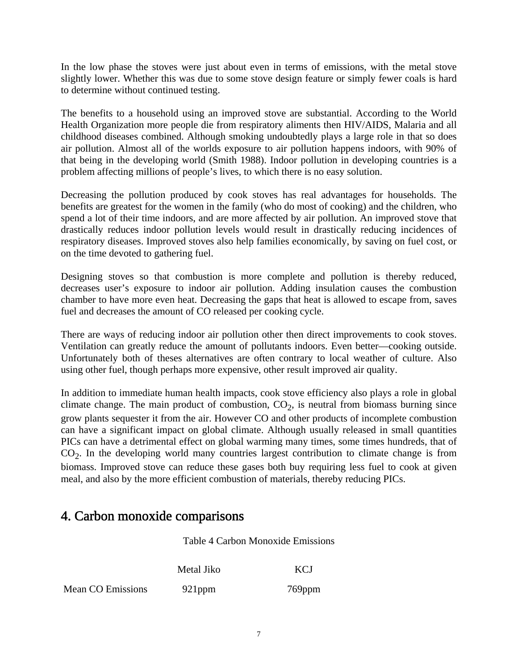In the low phase the stoves were just about even in terms of emissions, with the metal stove slightly lower. Whether this was due to some stove design feature or simply fewer coals is hard to determine without continued testing.

The benefits to a household using an improved stove are substantial. According to the World Health Organization more people die from respiratory aliments then HIV/AIDS, Malaria and all childhood diseases combined. Although smoking undoubtedly plays a large role in that so does air pollution. Almost all of the worlds exposure to air pollution happens indoors, with 90% of that being in the developing world (Smith 1988). Indoor pollution in developing countries is a problem affecting millions of people's lives, to which there is no easy solution.

Decreasing the pollution produced by cook stoves has real advantages for households. The benefits are greatest for the women in the family (who do most of cooking) and the children, who spend a lot of their time indoors, and are more affected by air pollution. An improved stove that drastically reduces indoor pollution levels would result in drastically reducing incidences of respiratory diseases. Improved stoves also help families economically, by saving on fuel cost, or on the time devoted to gathering fuel.

Designing stoves so that combustion is more complete and pollution is thereby reduced, decreases user's exposure to indoor air pollution. Adding insulation causes the combustion chamber to have more even heat. Decreasing the gaps that heat is allowed to escape from, saves fuel and decreases the amount of CO released per cooking cycle.

There are ways of reducing indoor air pollution other then direct improvements to cook stoves. Ventilation can greatly reduce the amount of pollutants indoors. Even better—cooking outside. Unfortunately both of theses alternatives are often contrary to local weather of culture. Also using other fuel, though perhaps more expensive, other result improved air quality.

In addition to immediate human health impacts, cook stove efficiency also plays a role in global climate change. The main product of combustion,  $CO<sub>2</sub>$ , is neutral from biomass burning since grow plants sequester it from the air. However CO and other products of incomplete combustion can have a significant impact on global climate. Although usually released in small quantities PICs can have a detrimental effect on global warming many times, some times hundreds, that of  $CO<sub>2</sub>$ . In the developing world many countries largest contribution to climate change is from biomass. Improved stove can reduce these gases both buy requiring less fuel to cook at given meal, and also by the more efficient combustion of materials, thereby reducing PICs.

#### 4. Carbon monoxide comparisons

Table 4 Carbon Monoxide Emissions

Metal Jiko KCJ

Mean CO Emissions 921ppm 769ppm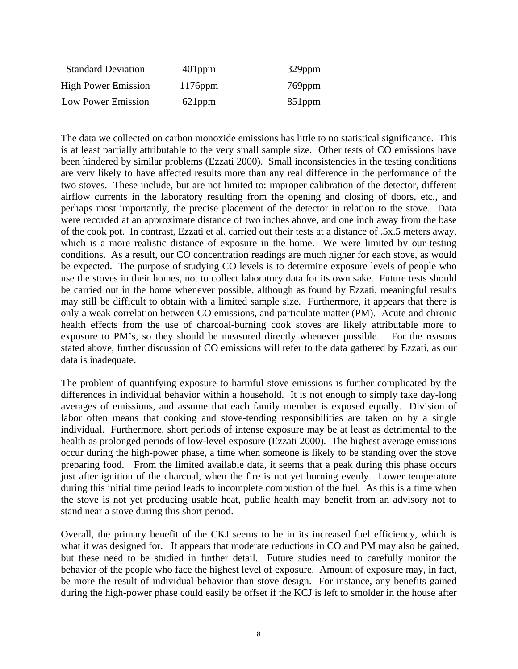| <b>Standard Deviation</b>  | $401$ ppm  | $329$ ppm |
|----------------------------|------------|-----------|
| <b>High Power Emission</b> | $1176$ ppm | $769$ ppm |
| Low Power Emission         | $621$ ppm  | $851$ ppm |

The data we collected on carbon monoxide emissions has little to no statistical significance. This is at least partially attributable to the very small sample size. Other tests of CO emissions have been hindered by similar problems (Ezzati 2000). Small inconsistencies in the testing conditions are very likely to have affected results more than any real difference in the performance of the two stoves. These include, but are not limited to: improper calibration of the detector, different airflow currents in the laboratory resulting from the opening and closing of doors, etc., and perhaps most importantly, the precise placement of the detector in relation to the stove. Data were recorded at an approximate distance of two inches above, and one inch away from the base of the cook pot. In contrast, Ezzati et al. carried out their tests at a distance of .5x.5 meters away, which is a more realistic distance of exposure in the home. We were limited by our testing conditions. As a result, our CO concentration readings are much higher for each stove, as would be expected. The purpose of studying CO levels is to determine exposure levels of people who use the stoves in their homes, not to collect laboratory data for its own sake. Future tests should be carried out in the home whenever possible, although as found by Ezzati, meaningful results may still be difficult to obtain with a limited sample size. Furthermore, it appears that there is only a weak correlation between CO emissions, and particulate matter (PM). Acute and chronic health effects from the use of charcoal-burning cook stoves are likely attributable more to exposure to PM's, so they should be measured directly whenever possible. For the reasons stated above, further discussion of CO emissions will refer to the data gathered by Ezzati, as our data is inadequate.

The problem of quantifying exposure to harmful stove emissions is further complicated by the differences in individual behavior within a household. It is not enough to simply take day-long averages of emissions, and assume that each family member is exposed equally. Division of labor often means that cooking and stove-tending responsibilities are taken on by a single individual. Furthermore, short periods of intense exposure may be at least as detrimental to the health as prolonged periods of low-level exposure (Ezzati 2000). The highest average emissions occur during the high-power phase, a time when someone is likely to be standing over the stove preparing food. From the limited available data, it seems that a peak during this phase occurs just after ignition of the charcoal, when the fire is not yet burning evenly. Lower temperature during this initial time period leads to incomplete combustion of the fuel. As this is a time when the stove is not yet producing usable heat, public health may benefit from an advisory not to stand near a stove during this short period.

Overall, the primary benefit of the CKJ seems to be in its increased fuel efficiency, which is what it was designed for. It appears that moderate reductions in CO and PM may also be gained, but these need to be studied in further detail. Future studies need to carefully monitor the behavior of the people who face the highest level of exposure. Amount of exposure may, in fact, be more the result of individual behavior than stove design. For instance, any benefits gained during the high-power phase could easily be offset if the KCJ is left to smolder in the house after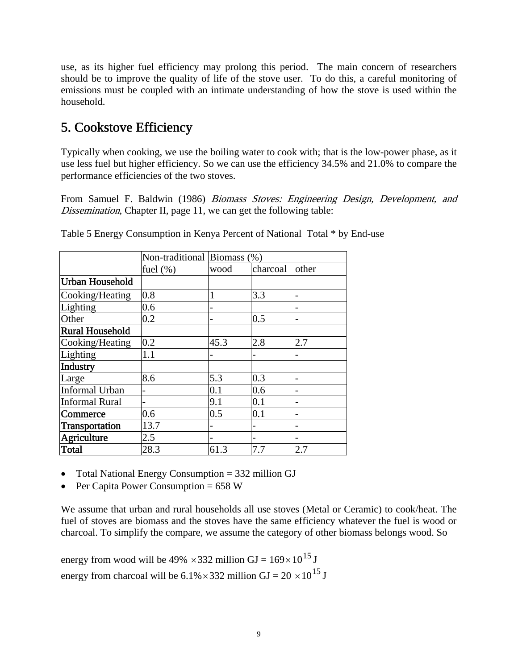use, as its higher fuel efficiency may prolong this period. The main concern of researchers should be to improve the quality of life of the stove user. To do this, a careful monitoring of emissions must be coupled with an intimate understanding of how the stove is used within the household.

### 5. Cookstove Efficiency

Typically when cooking, we use the boiling water to cook with; that is the low-power phase, as it use less fuel but higher efficiency. So we can use the efficiency 34.5% and 21.0% to compare the performance efficiencies of the two stoves.

From Samuel F. Baldwin (1986) Biomass Stoves: Engineering Design, Development, and Dissemination, Chapter II, page 11, we can get the following table:

|                        | Non-traditional Biomass (%) |      |                |                |  |
|------------------------|-----------------------------|------|----------------|----------------|--|
|                        | fuel $(\%)$                 | wood | charcoal       | other          |  |
| Urban Household        |                             |      |                |                |  |
| Cooking/Heating        | 0.8                         |      | 3.3            | $\overline{a}$ |  |
| Lighting               | 0.6                         | -    |                | -              |  |
| Other                  | 0.2                         |      | 0.5            | $\overline{a}$ |  |
| <b>Rural Household</b> |                             |      |                |                |  |
| Cooking/Heating        | 0.2                         | 45.3 | 2.8            | 2.7            |  |
| Lighting               | 1.1                         |      |                |                |  |
| <b>Industry</b>        |                             |      |                |                |  |
| Large                  | 8.6                         | 5.3  | 0.3            | $\overline{a}$ |  |
| Informal Urban         |                             | 0.1  | 0.6            | -              |  |
| <b>Informal Rural</b>  |                             | 9.1  | 0.1            |                |  |
| Commerce               | 0.6                         | 0.5  | 0.1            |                |  |
| Transportation         | 13.7                        |      | $\overline{a}$ |                |  |
| Agriculture            | 2.5                         |      |                | -              |  |
| Total                  | 28.3                        | 61.3 | 7.7            | 2.7            |  |

Table 5 Energy Consumption in Kenya Percent of National Total \* by End-use

• Total National Energy Consumption = 332 million GJ

• Per Capita Power Consumption =  $658$  W

We assume that urban and rural households all use stoves (Metal or Ceramic) to cook/heat. The fuel of stoves are biomass and the stoves have the same efficiency whatever the fuel is wood or charcoal. To simplify the compare, we assume the category of other biomass belongs wood. So

energy from wood will be 49%  $\times$  332 million GJ = 169 $\times$ 10<sup>15</sup> J energy from charcoal will be  $6.1\% \times 332$  million GJ =  $20 \times 10^{15}$  J